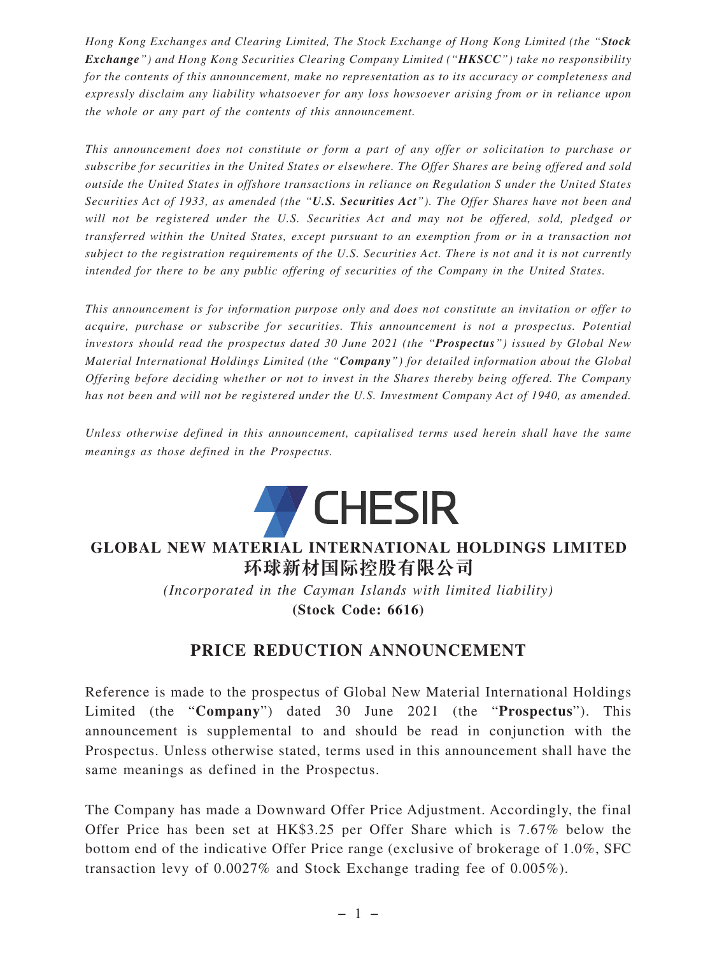*Hong Kong Exchanges and Clearing Limited, The Stock Exchange of Hong Kong Limited (the "Stock Exchange") and Hong Kong Securities Clearing Company Limited ("HKSCC") take no responsibility for the contents of this announcement, make no representation as to its accuracy or completeness and expressly disclaim any liability whatsoever for any loss howsoever arising from or in reliance upon the whole or any part of the contents of this announcement.*

*This announcement does not constitute or form a part of any offer or solicitation to purchase or subscribe for securities in the United States or elsewhere. The Offer Shares are being offered and sold outside the United States in offshore transactions in reliance on Regulation S under the United States Securities Act of 1933, as amended (the "U.S. Securities Act"). The Offer Shares have not been and will not be registered under the U.S. Securities Act and may not be offered, sold, pledged or transferred within the United States, except pursuant to an exemption from or in a transaction not subject to the registration requirements of the U.S. Securities Act. There is not and it is not currently intended for there to be any public offering of securities of the Company in the United States.*

*This announcement is for information purpose only and does not constitute an invitation or offer to acquire, purchase or subscribe for securities. This announcement is not a prospectus. Potential investors should read the prospectus dated 30 June 2021 (the "Prospectus") issued by Global New Material International Holdings Limited (the "Company") for detailed information about the Global Offering before deciding whether or not to invest in the Shares thereby being offered. The Company has not been and will not be registered under the U.S. Investment Company Act of 1940, as amended.*

*Unless otherwise defined in this announcement, capitalised terms used herein shall have the same meanings as those defined in the Prospectus.*



## **GLOBAL NEW MATERIAL INTERNATIONAL HOLDINGS LIMITED 環球新材國際控股有限公司**

*(Incorporated in the Cayman Islands with limited liability)* **(Stock Code: 6616)**

## **PRICE REDUCTION ANNOUNCEMENT**

Reference is made to the prospectus of Global New Material International Holdings Limited (the "**Company**") dated 30 June 2021 (the "**Prospectus**"). This announcement is supplemental to and should be read in conjunction with the Prospectus. Unless otherwise stated, terms used in this announcement shall have the same meanings as defined in the Prospectus.

The Company has made a Downward Offer Price Adjustment. Accordingly, the final Offer Price has been set at HK\$3.25 per Offer Share which is 7.67% below the bottom end of the indicative Offer Price range (exclusive of brokerage of 1.0%, SFC transaction levy of 0.0027% and Stock Exchange trading fee of 0.005%).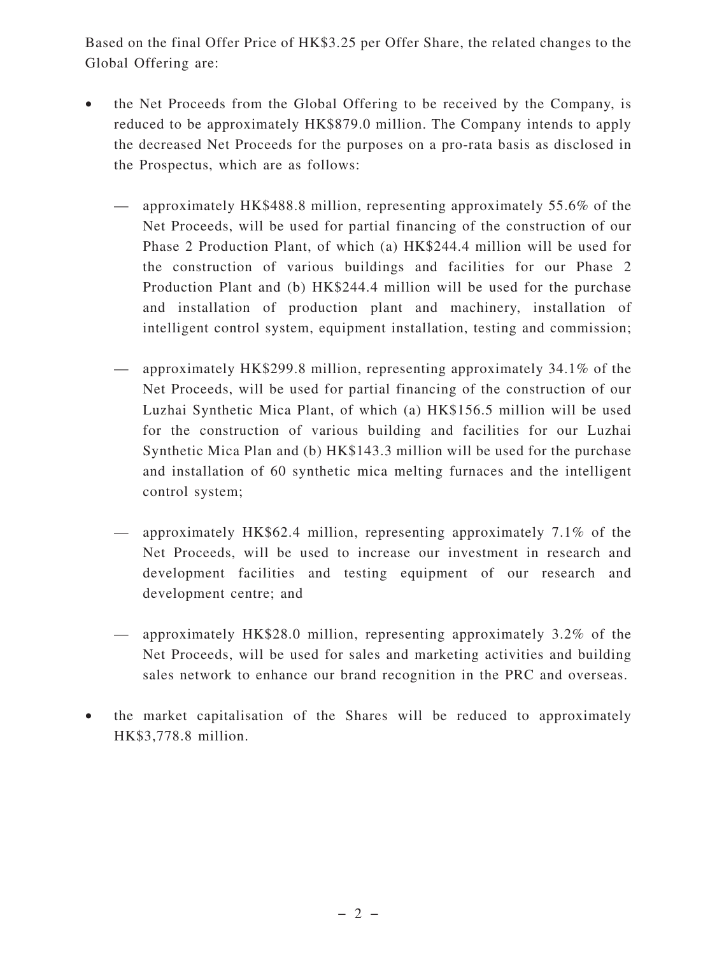Based on the final Offer Price of HK\$3.25 per Offer Share, the related changes to the Global Offering are:

- the Net Proceeds from the Global Offering to be received by the Company, is reduced to be approximately HK\$879.0 million. The Company intends to apply the decreased Net Proceeds for the purposes on a pro-rata basis as disclosed in the Prospectus, which are as follows:
	- approximately HK\$488.8 million, representing approximately 55.6% of the Net Proceeds, will be used for partial financing of the construction of our Phase 2 Production Plant, of which (a) HK\$244.4 million will be used for the construction of various buildings and facilities for our Phase 2 Production Plant and (b) HK\$244.4 million will be used for the purchase and installation of production plant and machinery, installation of intelligent control system, equipment installation, testing and commission;
	- approximately HK\$299.8 million, representing approximately 34.1% of the Net Proceeds, will be used for partial financing of the construction of our Luzhai Synthetic Mica Plant, of which (a) HK\$156.5 million will be used for the construction of various building and facilities for our Luzhai Synthetic Mica Plan and (b) HK\$143.3 million will be used for the purchase and installation of 60 synthetic mica melting furnaces and the intelligent control system;
	- approximately HK\$62.4 million, representing approximately 7.1% of the Net Proceeds, will be used to increase our investment in research and development facilities and testing equipment of our research and development centre; and
	- approximately HK\$28.0 million, representing approximately 3.2% of the Net Proceeds, will be used for sales and marketing activities and building sales network to enhance our brand recognition in the PRC and overseas.
- the market capitalisation of the Shares will be reduced to approximately HK\$3,778.8 million.